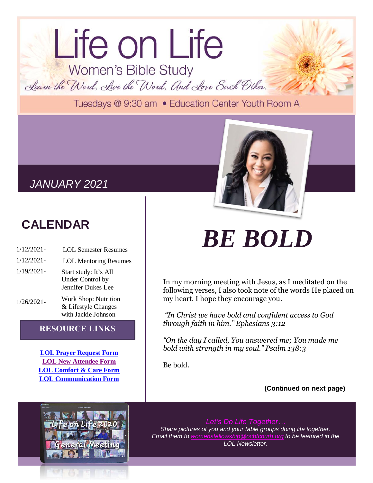## Life on Life Women's Bible Study Learn the Word, Live the Word, And Love Each Other.

Tuesdays @ 9:30 am . Education Center Youth Room A

### *JANUARY 2021*

## **CALENDAR**

- 1/12/2021- LOL Semester Resumes
- 1/12/2021- LOL Mentoring Resumes
- 1/19/2021-
	- Start study: It's All Under Control by Jennifer Dukes Lee
- 1/26/2021- Work Shop: Nutrition & Lifestyle Changes with Jackie Johnson

### **RESOURCE LINKS**

**[LOL Prayer Request Form](https://tinyurl.com/y6hdxr98) [LOL New Attendee Form](https://tinyurl.com/y443dwss) [LOL Comfort & Care Form](https://tinyurl.com/y6arurok) [LOL Communication Form](https://tinyurl.com/y5wm7htw)**

# *BE BOLD*

In my morning meeting with Jesus, as I meditated on the following verses, I also took note of the words He placed on my heart. I hope they encourage you.

*"In Christ we have bold and confident access to God through faith in him." Ephesians 3:12*

*"On the day I called, You answered me; You made me bold with strength in my soul." Psalm 138:3*

Be bold.

**(Continued on next page)**



*Let's Do Life Together… Share pictures of you and your table groups doing life together. Email them to [womensfellowship@ocbfchurh.org](mailto:womensfellowship@ocbfchurh.org) to be featured in the LOL Newsletter.*